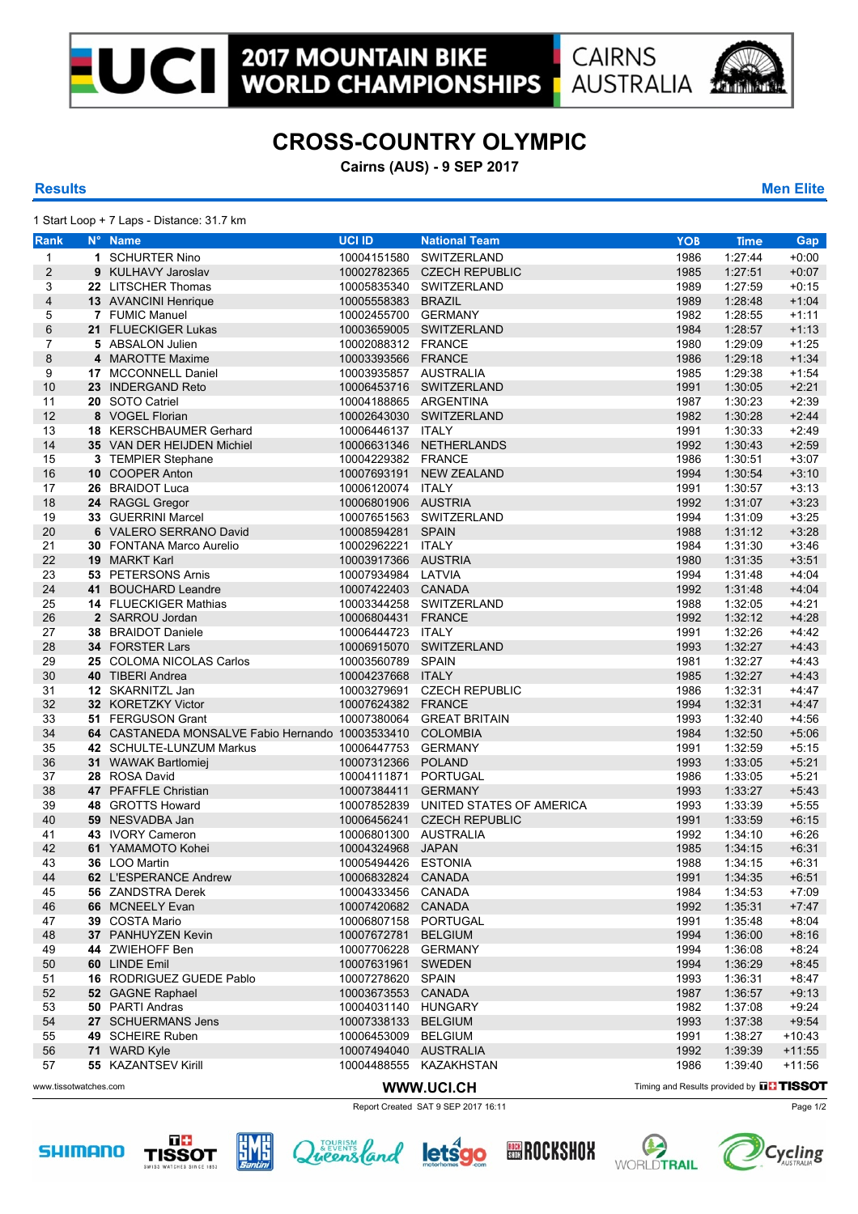

## **CROSS-COUNTRY OLYMPIC**

**Cairns (AUS) - 9 SEP 2017**

## **Results Men Elite**

1 Start Loop + 7 Laps - Distance: 31.7 km

| <b>Rank</b>           | N° Name                                                   | <b>UCI ID</b>         | <b>National Team</b>                 | <b>YOB</b> | <b>Time</b>                              | Gap      |  |  |
|-----------------------|-----------------------------------------------------------|-----------------------|--------------------------------------|------------|------------------------------------------|----------|--|--|
| $\mathbf{1}$          | 1 SCHURTER Nino                                           | 10004151580           | SWITZERLAND                          | 1986       | 1:27:44                                  | $+0:00$  |  |  |
| $\overline{2}$        | 9 KULHAVY Jaroslav                                        |                       | 10002782365 CZECH REPUBLIC           | 1985       | 1:27:51                                  | $+0:07$  |  |  |
| 3                     | 22 LITSCHER Thomas                                        |                       | 10005835340 SWITZERLAND              | 1989       | 1:27:59                                  | $+0.15$  |  |  |
| 4                     | 13 AVANCINI Henrique                                      | 10005558383 BRAZIL    |                                      | 1989       | 1:28:48                                  | $+1:04$  |  |  |
| 5                     | 7 FUMIC Manuel                                            | 10002455700 GERMANY   |                                      | 1982       | 1:28:55                                  | $+1:11$  |  |  |
| 6                     | 21 FLUECKIGER Lukas                                       |                       | 10003659005 SWITZERLAND              | 1984       | 1:28:57                                  | $+1:13$  |  |  |
| 7                     | 5 ABSALON Julien                                          | 10002088312 FRANCE    |                                      | 1980       | 1:29:09                                  | $+1:25$  |  |  |
|                       |                                                           |                       |                                      |            |                                          | $+1:34$  |  |  |
| 8                     | 4 MAROTTE Maxime                                          | 10003393566 FRANCE    |                                      | 1986       | 1:29:18                                  |          |  |  |
| 9                     | 17 MCCONNELL Daniel                                       | 10003935857 AUSTRALIA |                                      | 1985       | 1:29:38                                  | $+1:54$  |  |  |
| 10                    | 23 INDERGAND Reto                                         |                       | 10006453716 SWITZERLAND              | 1991       | 1:30:05                                  | $+2:21$  |  |  |
| 11                    | 20 SOTO Catriel                                           | 10004188865 ARGENTINA |                                      | 1987       | 1:30:23                                  | $+2:39$  |  |  |
| 12                    | 8 VOGEL Florian                                           |                       | 10002643030 SWITZERLAND              | 1982       | 1:30:28                                  | $+2:44$  |  |  |
| 13                    | 18 KERSCHBAUMER Gerhard                                   | 10006446137 ITALY     |                                      | 1991       | 1:30:33                                  | $+2:49$  |  |  |
| 14                    | 35 VAN DER HEIJDEN Michiel                                |                       | 10006631346 NETHERLANDS              | 1992       | 1:30:43                                  | $+2:59$  |  |  |
| 15                    | 3 TEMPIER Stephane                                        | 10004229382 FRANCE    |                                      | 1986       | 1:30:51                                  | $+3:07$  |  |  |
| 16                    | 10 COOPER Anton                                           |                       | 10007693191 NEW ZEALAND              | 1994       | 1:30:54                                  | $+3:10$  |  |  |
| 17                    | 26 BRAIDOT Luca                                           | 10006120074 ITALY     |                                      | 1991       | 1:30:57                                  | $+3.13$  |  |  |
| 18                    | 24 RAGGL Gregor                                           | 10006801906 AUSTRIA   |                                      | 1992       | 1:31:07                                  | $+3:23$  |  |  |
| 19                    | 33 GUERRINI Marcel                                        |                       | 10007651563 SWITZERLAND              | 1994       | 1:31:09                                  | $+3:25$  |  |  |
| 20                    | 6 VALERO SERRANO David                                    | 10008594281 SPAIN     |                                      | 1988       | 1:31:12                                  | $+3:28$  |  |  |
| 21                    | 30 FONTANA Marco Aurelio                                  | 10002962221 ITALY     |                                      | 1984       | 1:31:30                                  | $+3.46$  |  |  |
| 22                    | 19 MARKT Karl                                             | 10003917366 AUSTRIA   |                                      | 1980       | 1:31:35                                  | $+3.51$  |  |  |
| 23                    | 53 PETERSONS Arnis                                        | 10007934984 LATVIA    |                                      | 1994       | 1:31:48                                  | $+4.04$  |  |  |
| 24                    | 41 BOUCHARD Leandre                                       | 10007422403 CANADA    |                                      | 1992       | 1:31:48                                  | $+4.04$  |  |  |
| 25                    | <b>14 FLUECKIGER Mathias</b>                              |                       | 10003344258 SWITZERLAND              | 1988       | 1:32:05                                  | $+4:21$  |  |  |
| 26                    | 2 SARROU Jordan                                           | 10006804431 FRANCE    |                                      | 1992       | 1:32:12                                  | $+4.28$  |  |  |
| 27                    | 38 BRAIDOT Daniele                                        | 10006444723 ITALY     |                                      | 1991       | 1:32:26                                  | $+4.42$  |  |  |
| 28                    | <b>34 FORSTER Lars</b>                                    |                       | 10006915070 SWITZERLAND              | 1993       | 1:32:27                                  | $+4.43$  |  |  |
| 29                    | 25 COLOMA NICOLAS Carlos                                  | 10003560789 SPAIN     |                                      | 1981       | 1:32:27                                  | $+4.43$  |  |  |
| 30                    | 40 TIBERI Andrea                                          | 10004237668 ITALY     |                                      | 1985       | 1:32:27                                  | $+4.43$  |  |  |
| 31                    | 12 SKARNITZL Jan                                          |                       | 10003279691 CZECH REPUBLIC           | 1986       | 1:32:31                                  | $+4.47$  |  |  |
| 32                    | 32 KORETZKY Victor                                        | 10007624382 FRANCE    |                                      | 1994       | 1:32:31                                  | $+4.47$  |  |  |
| 33                    | 51 FERGUSON Grant                                         |                       | 10007380064 GREAT BRITAIN            | 1993       | 1:32:40                                  | $+4.56$  |  |  |
| 34                    | 64 CASTANEDA MONSALVE Fabio Hernando 10003533410 COLOMBIA |                       |                                      | 1984       |                                          | $+5.06$  |  |  |
|                       |                                                           |                       |                                      |            | 1:32:50                                  |          |  |  |
| 35                    | 42 SCHULTE-LUNZUM Markus                                  | 10006447753 GERMANY   |                                      | 1991       | 1:32:59                                  | $+5:15$  |  |  |
| 36                    | 31 WAWAK Bartlomiej                                       | 10007312366 POLAND    |                                      | 1993       | 1:33:05                                  | $+5:21$  |  |  |
| 37                    | 28 ROSA David                                             | 10004111871 PORTUGAL  |                                      | 1986       | 1:33:05                                  | $+5:21$  |  |  |
| 38                    | 47 PFAFFLE Christian                                      | 10007384411 GERMANY   |                                      | 1993       | 1:33:27                                  | $+5.43$  |  |  |
| 39                    | 48 GROTTS Howard                                          |                       | 10007852839 UNITED STATES OF AMERICA | 1993       | 1:33:39                                  | $+5:55$  |  |  |
| 40                    | 59 NESVADBA Jan                                           |                       | 10006456241 CZECH REPUBLIC           | 1991       | 1:33:59                                  | $+6:15$  |  |  |
| 41                    | 43 IVORY Cameron                                          | 10006801300 AUSTRALIA |                                      | 1992       | 1:34:10                                  | $+6:26$  |  |  |
| 42                    | 61 YAMAMOTO Kohei                                         | 10004324968 JAPAN     |                                      | 1985       | 1:34:15                                  | $+6.31$  |  |  |
| 43                    | 36 LOO Martin                                             | 10005494426 ESTONIA   |                                      | 1988       | 1:34:15                                  | $+6:31$  |  |  |
| 44                    | 62 L'ESPERANCE Andrew                                     | 10006832824 CANADA    |                                      | 1991       | 1:34:35                                  | $+6.51$  |  |  |
| 45                    | 56 ZANDSTRA Derek                                         | 10004333456 CANADA    |                                      | 1984       | 1:34:53                                  | $+7:09$  |  |  |
| 46                    | 66 MCNEELY Evan                                           | 10007420682 CANADA    |                                      | 1992       | 1:35:31                                  | $+7.47$  |  |  |
| 47                    | 39 COSTA Mario                                            | 10006807158 PORTUGAL  |                                      | 1991       | 1:35:48                                  | $+8.04$  |  |  |
| 48                    | 37 PANHUYZEN Kevin                                        | 10007672781 BELGIUM   |                                      | 1994       | 1:36:00                                  | $+8:16$  |  |  |
| 49                    | 44 ZWIEHOFF Ben                                           | 10007706228 GERMANY   |                                      | 1994       | 1:36:08                                  | $+8:24$  |  |  |
| 50                    | 60 LINDE Emil                                             | 10007631961 SWEDEN    |                                      | 1994       | 1:36:29                                  | $+8.45$  |  |  |
| 51                    | 16 RODRIGUEZ GUEDE Pablo                                  | 10007278620 SPAIN     |                                      | 1993       | 1:36:31                                  | $+8.47$  |  |  |
| 52                    | 52 GAGNE Raphael                                          | 10003673553 CANADA    |                                      | 1987       | 1:36:57                                  | $+9:13$  |  |  |
| 53                    | 50 PARTI Andras                                           | 10004031140 HUNGARY   |                                      | 1982       | 1:37:08                                  | $+9:24$  |  |  |
| 54                    | 27 SCHUERMANS Jens                                        | 10007338133 BELGIUM   |                                      | 1993       | 1:37:38                                  | $+9.54$  |  |  |
| 55                    | 49 SCHEIRE Ruben                                          | 10006453009 BELGIUM   |                                      | 1991       | 1:38:27                                  | $+10:43$ |  |  |
| 56                    | 71 WARD Kyle                                              | 10007494040 AUSTRALIA |                                      | 1992       | 1:39:39                                  | $+11.55$ |  |  |
| 57                    | 55 KAZANTSEV Kirill                                       |                       | 10004488555 KAZAKHSTAN               | 1986       | 1:39:40                                  | $+11:56$ |  |  |
|                       |                                                           |                       |                                      |            |                                          |          |  |  |
| www.tissotwatches.com |                                                           | WWW.UCI.CH            |                                      |            | Timing and Results provided by DD TISSOT |          |  |  |

Report Created SAT 9 SEP 2017 16:11 Page 1/2